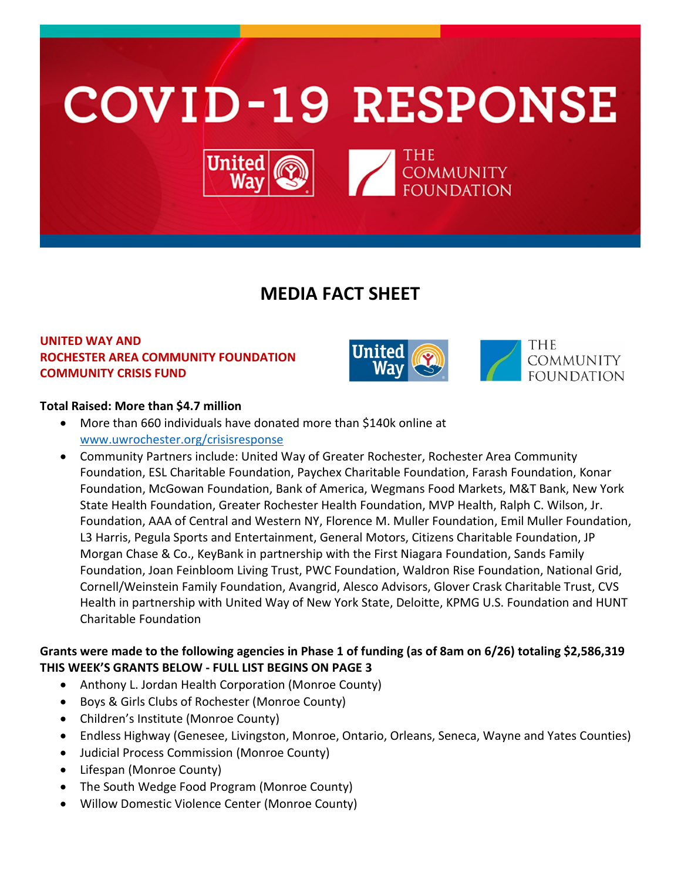

# **MEDIA FACT SHEET**

# **UNITED WAY AND ROCHESTER AREA COMMUNITY FOUNDATION COMMUNITY CRISIS FUND**



## **Total Raised: More than \$4.7 million**

- More than 660 individuals have donated more than \$140k online at [www.uwrochester.org/crisisresponse](http://www.uwrochester.org/crisisresponse)
- Community Partners include: United Way of Greater Rochester, Rochester Area Community Foundation, ESL Charitable Foundation, Paychex Charitable Foundation, Farash Foundation, Konar Foundation, McGowan Foundation, Bank of America, Wegmans Food Markets, M&T Bank, New York State Health Foundation, Greater Rochester Health Foundation, MVP Health, Ralph C. Wilson, Jr. Foundation, AAA of Central and Western NY, Florence M. Muller Foundation, Emil Muller Foundation, L3 Harris, Pegula Sports and Entertainment, General Motors, Citizens Charitable Foundation, JP Morgan Chase & Co., KeyBank in partnership with the First Niagara Foundation, Sands Family Foundation, Joan Feinbloom Living Trust, PWC Foundation, Waldron Rise Foundation, National Grid, Cornell/Weinstein Family Foundation, Avangrid, Alesco Advisors, Glover Crask Charitable Trust, CVS Health in partnership with United Way of New York State, Deloitte, KPMG U.S. Foundation and HUNT Charitable Foundation

# **Grants were made to the following agencies in Phase 1 of funding (as of 8am on 6/26) totaling \$2,586,319 THIS WEEK'S GRANTS BELOW - FULL LIST BEGINS ON PAGE 3**

- Anthony L. Jordan Health Corporation (Monroe County)
- Boys & Girls Clubs of Rochester (Monroe County)
- Children's Institute (Monroe County)
- Endless Highway (Genesee, Livingston, Monroe, Ontario, Orleans, Seneca, Wayne and Yates Counties)
- Judicial Process Commission (Monroe County)
- Lifespan (Monroe County)
- The South Wedge Food Program (Monroe County)
- Willow Domestic Violence Center (Monroe County)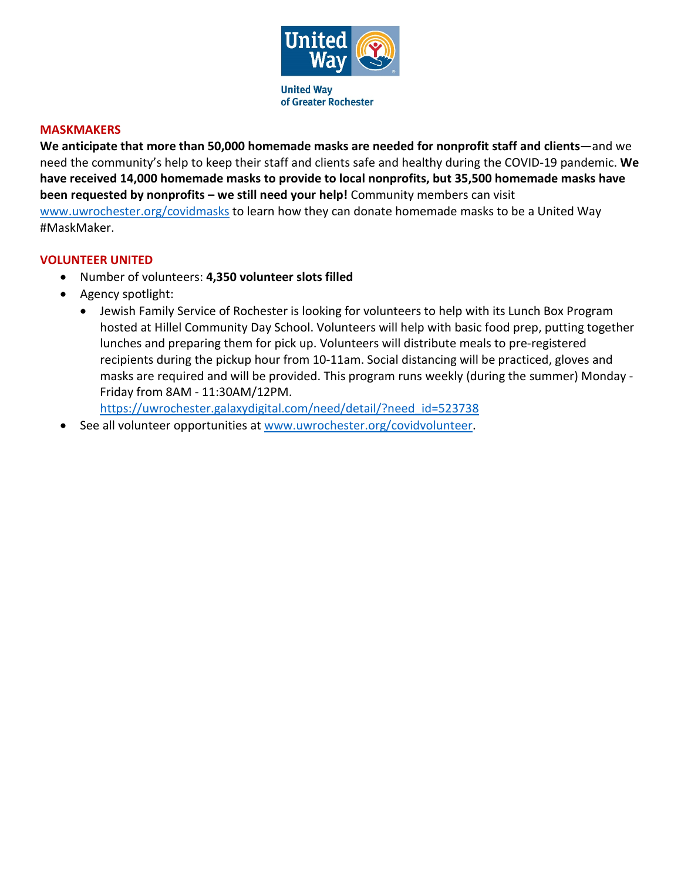

#### **MASKMAKERS**

**We anticipate that more than 50,000 homemade masks are needed for nonprofit staff and clients**—and we need the community's help to keep their staff and clients safe and healthy during the COVID-19 pandemic. **We have received 14,000 homemade masks to provide to local nonprofits, but 35,500 homemade masks have been requested by nonprofits – we still need your help!** Community members can visit [www.uwrochester.org/covidmasks](http://www.uwrochester.org/covidmasks) to learn how they can donate homemade masks to be a United Way #MaskMaker.

#### **VOLUNTEER UNITED**

- Number of volunteers: **4,350 volunteer slots filled**
- Agency spotlight:
	- Jewish Family Service of Rochester is looking for volunteers to help with its Lunch Box Program hosted at Hillel Community Day School. Volunteers will help with basic food prep, putting together lunches and preparing them for pick up. Volunteers will distribute meals to pre-registered recipients during the pickup hour from 10-11am. Social distancing will be practiced, gloves and masks are required and will be provided. This program runs weekly (during the summer) Monday - Friday from 8AM - 11:30AM/12PM.

[https://uwrochester.galaxydigital.com/need/detail/?need\\_id=523738](https://uwrochester.galaxydigital.com/need/detail/?need_id=523738)

See all volunteer opportunities at [www.uwrochester.org/covidvolunteer.](http://www.uwrochester.org/covidvolunteer)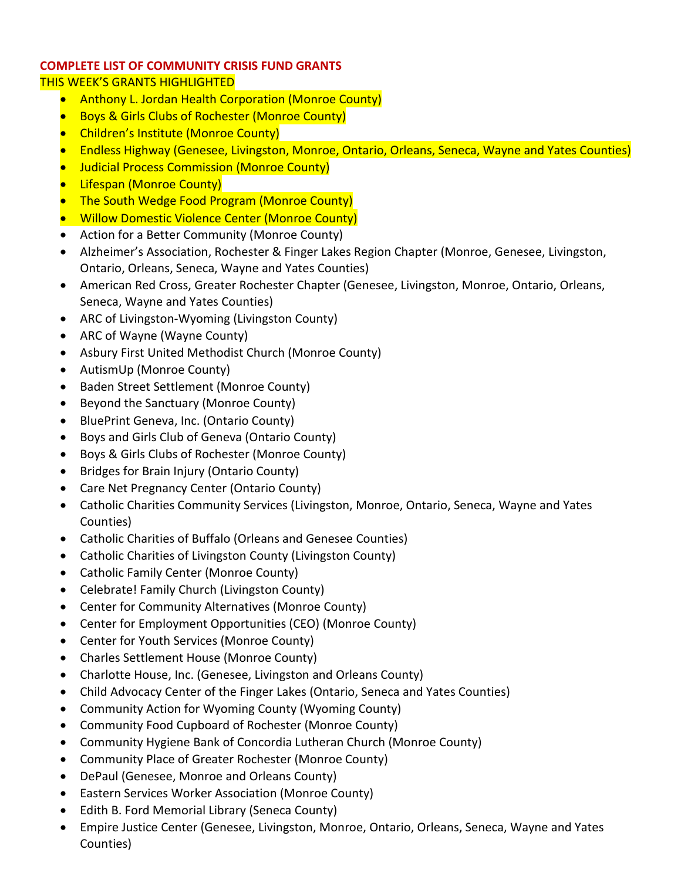## **COMPLETE LIST OF COMMUNITY CRISIS FUND GRANTS**

## THIS WEEK'S GRANTS HIGHLIGHTED

- Anthony L. Jordan Health Corporation (Monroe County)
- **Boys & Girls Clubs of Rochester (Monroe County)**
- Children's Institute (Monroe County)
- Endless Highway (Genesee, Livingston, Monroe, Ontario, Orleans, Seneca, Wayne and Yates Counties)
- Judicial Process Commission (Monroe County)
- **•** Lifespan (Monroe County)
- The South Wedge Food Program (Monroe County)
- Willow Domestic Violence Center (Monroe County)
- Action for a Better Community (Monroe County)
- Alzheimer's Association, Rochester & Finger Lakes Region Chapter (Monroe, Genesee, Livingston, Ontario, Orleans, Seneca, Wayne and Yates Counties)
- American Red Cross, Greater Rochester Chapter (Genesee, Livingston, Monroe, Ontario, Orleans, Seneca, Wayne and Yates Counties)
- ARC of Livingston-Wyoming (Livingston County)
- ARC of Wayne (Wayne County)
- Asbury First United Methodist Church (Monroe County)
- AutismUp (Monroe County)
- Baden Street Settlement (Monroe County)
- Beyond the Sanctuary (Monroe County)
- BluePrint Geneva, Inc. (Ontario County)
- Boys and Girls Club of Geneva (Ontario County)
- Boys & Girls Clubs of Rochester (Monroe County)
- Bridges for Brain Injury (Ontario County)
- Care Net Pregnancy Center (Ontario County)
- Catholic Charities Community Services (Livingston, Monroe, Ontario, Seneca, Wayne and Yates Counties)
- Catholic Charities of Buffalo (Orleans and Genesee Counties)
- Catholic Charities of Livingston County (Livingston County)
- Catholic Family Center (Monroe County)
- Celebrate! Family Church (Livingston County)
- Center for Community Alternatives (Monroe County)
- Center for Employment Opportunities (CEO) (Monroe County)
- Center for Youth Services (Monroe County)
- Charles Settlement House (Monroe County)
- Charlotte House, Inc. (Genesee, Livingston and Orleans County)
- Child Advocacy Center of the Finger Lakes (Ontario, Seneca and Yates Counties)
- Community Action for Wyoming County (Wyoming County)
- Community Food Cupboard of Rochester (Monroe County)
- Community Hygiene Bank of Concordia Lutheran Church (Monroe County)
- Community Place of Greater Rochester (Monroe County)
- DePaul (Genesee, Monroe and Orleans County)
- Eastern Services Worker Association (Monroe County)
- Edith B. Ford Memorial Library (Seneca County)
- Empire Justice Center (Genesee, Livingston, Monroe, Ontario, Orleans, Seneca, Wayne and Yates Counties)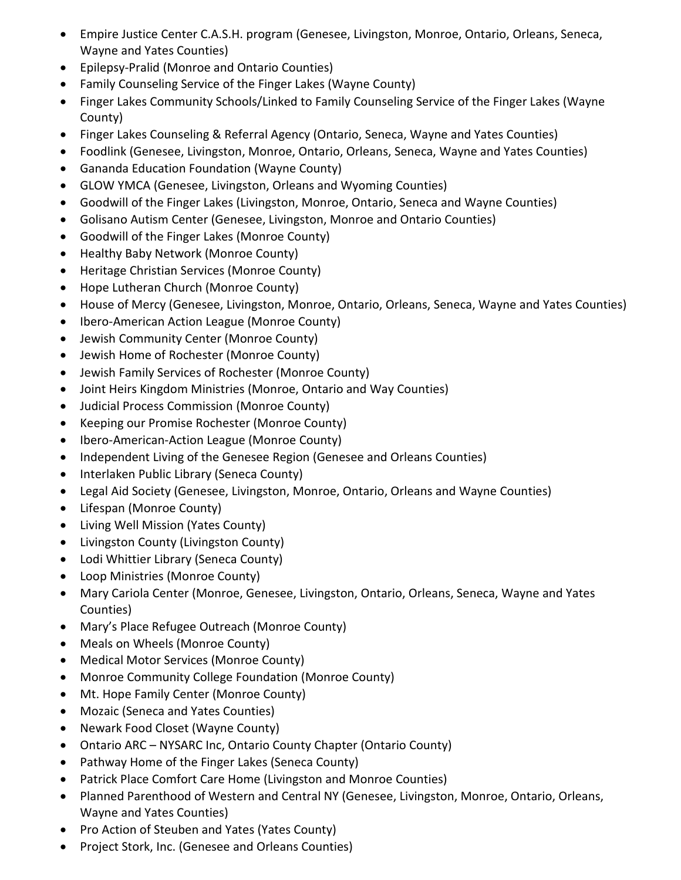- Empire Justice Center C.A.S.H. program (Genesee, Livingston, Monroe, Ontario, Orleans, Seneca, Wayne and Yates Counties)
- Epilepsy-Pralid (Monroe and Ontario Counties)
- Family Counseling Service of the Finger Lakes (Wayne County)
- Finger Lakes Community Schools/Linked to Family Counseling Service of the Finger Lakes (Wayne County)
- Finger Lakes Counseling & Referral Agency (Ontario, Seneca, Wayne and Yates Counties)
- Foodlink (Genesee, Livingston, Monroe, Ontario, Orleans, Seneca, Wayne and Yates Counties)
- Gananda Education Foundation (Wayne County)
- GLOW YMCA (Genesee, Livingston, Orleans and Wyoming Counties)
- Goodwill of the Finger Lakes (Livingston, Monroe, Ontario, Seneca and Wayne Counties)
- Golisano Autism Center (Genesee, Livingston, Monroe and Ontario Counties)
- Goodwill of the Finger Lakes (Monroe County)
- Healthy Baby Network (Monroe County)
- Heritage Christian Services (Monroe County)
- Hope Lutheran Church (Monroe County)
- House of Mercy (Genesee, Livingston, Monroe, Ontario, Orleans, Seneca, Wayne and Yates Counties)
- Ibero-American Action League (Monroe County)
- Jewish Community Center (Monroe County)
- Jewish Home of Rochester (Monroe County)
- Jewish Family Services of Rochester (Monroe County)
- Joint Heirs Kingdom Ministries (Monroe, Ontario and Way Counties)
- Judicial Process Commission (Monroe County)
- Keeping our Promise Rochester (Monroe County)
- Ibero-American-Action League (Monroe County)
- Independent Living of the Genesee Region (Genesee and Orleans Counties)
- Interlaken Public Library (Seneca County)
- Legal Aid Society (Genesee, Livingston, Monroe, Ontario, Orleans and Wayne Counties)
- Lifespan (Monroe County)
- Living Well Mission (Yates County)
- Livingston County (Livingston County)
- Lodi Whittier Library (Seneca County)
- Loop Ministries (Monroe County)
- Mary Cariola Center (Monroe, Genesee, Livingston, Ontario, Orleans, Seneca, Wayne and Yates Counties)
- Mary's Place Refugee Outreach (Monroe County)
- Meals on Wheels (Monroe County)
- Medical Motor Services (Monroe County)
- Monroe Community College Foundation (Monroe County)
- Mt. Hope Family Center (Monroe County)
- Mozaic (Seneca and Yates Counties)
- Newark Food Closet (Wayne County)
- Ontario ARC NYSARC Inc, Ontario County Chapter (Ontario County)
- Pathway Home of the Finger Lakes (Seneca County)
- Patrick Place Comfort Care Home (Livingston and Monroe Counties)
- Planned Parenthood of Western and Central NY (Genesee, Livingston, Monroe, Ontario, Orleans, Wayne and Yates Counties)
- Pro Action of Steuben and Yates (Yates County)
- Project Stork, Inc. (Genesee and Orleans Counties)